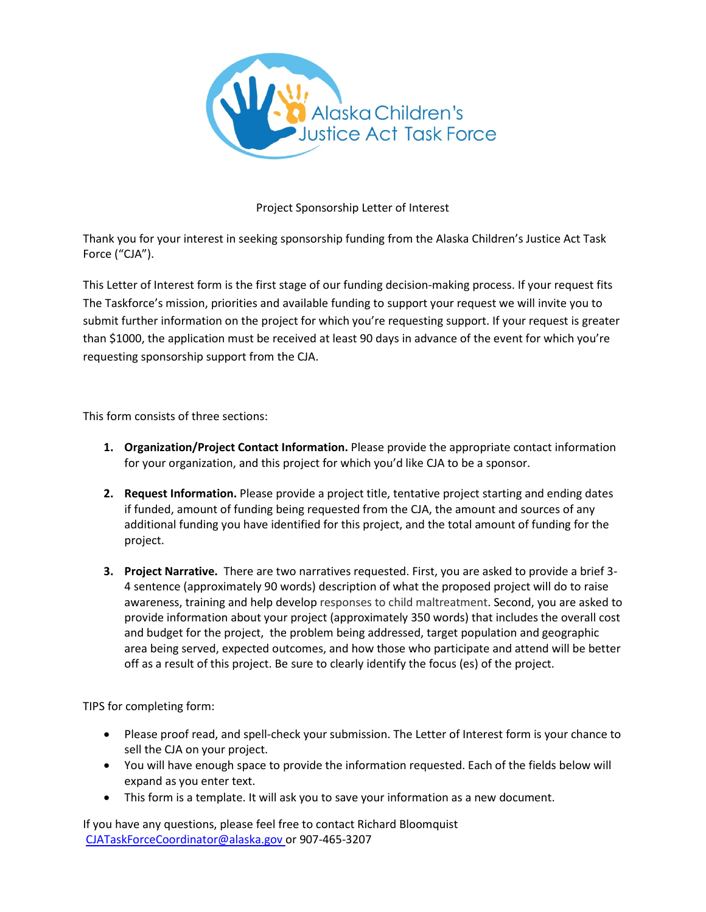

## Project Sponsorship Letter of Interest

Thank you for your interest in seeking sponsorship funding from the Alaska Children's Justice Act Task Force ("CJA").

This Letter of Interest form is the first stage of our funding decision-making process. If your request fits The Taskforce's mission, priorities and available funding to support your request we will invite you to submit further information on the project for which you're requesting support. If your request is greater than \$1000, the application must be received at least 90 days in advance of the event for which you're requesting sponsorship support from the CJA.

This form consists of three sections:

- **1. Organization/Project Contact Information.** Please provide the appropriate contact information for your organization, and this project for which you'd like CJA to be a sponsor.
- **2. Request Information.** Please provide a project title, tentative project starting and ending dates if funded, amount of funding being requested from the CJA, the amount and sources of any additional funding you have identified for this project, and the total amount of funding for the project.
- **3. Project Narrative.** There are two narratives requested. First, you are asked to provide a brief 3- 4 sentence (approximately 90 words) description of what the proposed project will do to raise awareness, training and help develop responses to child maltreatment. Second, you are asked to provide information about your project (approximately 350 words) that includes the overall cost and budget for the project, the problem being addressed, target population and geographic area being served, expected outcomes, and how those who participate and attend will be better off as a result of this project. Be sure to clearly identify the focus (es) of the project.

TIPS for completing form:

- Please proof read, and spell-check your submission. The Letter of Interest form is your chance to sell the CJA on your project.
- You will have enough space to provide the information requested. Each of the fields below will expand as you enter text.
- This form is a template. It will ask you to save your information as a new document.

If you have any questions, please feel free to contact Richard Bloomquist CJATaskForceCoordinator@alaska.gov or 907-465-3207